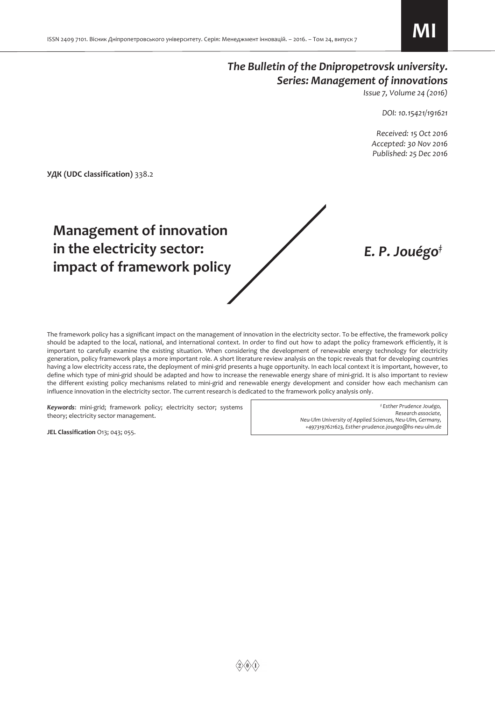## *The Bulletin of the Dnipropetrovsk university. Series: Management of innovations*

*Issue 7, Volume 24 (2016)* 

*DOI: 10.15421/191621* 

 *Received: 15 Oct 2016 Accepted: 30 Nov 2016 Published: 25 Deс 2016* 

*E. P. Jouégo‡*

**УДК (UDC classification)** 338.2

# **Management of innovation in the electricity sector: impact of framework policy**

The framework policy has a significant impact on the management of innovation in the electricity sector. To be effective, the framework policy should be adapted to the local, national, and international context. In order to find out how to adapt the policy framework efficiently, it is important to carefully examine the existing situation. When considering the development of renewable energy technology for electricity generation, policy framework plays a more important role. A short literature review analysis on the topic reveals that for developing countries having a low electricity access rate, the deployment of mini-grid presents a huge opportunity. In each local context it is important, however, to define which type of mini-grid should be adapted and how to increase the renewable energy share of mini-grid. It is also important to review the different existing policy mechanisms related to mini-grid and renewable energy development and consider how each mechanism can influence innovation in the electricity sector. The current research is dedicated to the framework policy analysis only.

*Keywords*: mini-grid; framework policy; electricity sector; systems theory; electricity sector management.

**JEL Classification** O13; 043; 055.

*‡ Esther Prudence Jouégo, Research associate, Neu-Ulm University of Applied Sciences, Neu-Ulm, Germany, +4973197621623, Esther-prudence.jouego@hs-neu-ulm.de*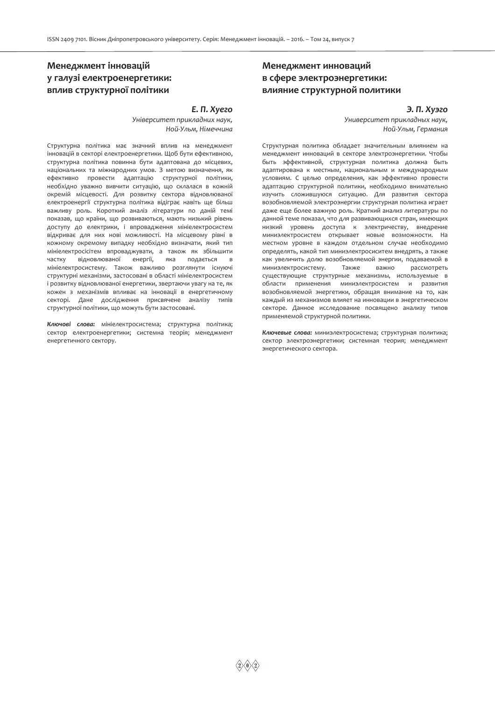## **Менеджмент інновацій у галузі електроенергетики: вплив структурної політики**

## *Е. П. Хуего*

*Університет прикладних наук, Ной-Ульм, Німеччина*

Структурна політика має значний вплив на менеджмент інновацій в секторі електроенергетики. Щоб бути ефективною, структурна політика повинна бути адаптована до місцевих, національних та міжнародних умов. З метою визначення, як ефективно провести адаптацію структурної політики, необхідно уважно вивчити ситуацію, що склалася в кожній окремій місцевості. Для розвитку сектора відновлюваної електроенергії структурна політика відіграє навіть ще більш важливу роль. Короткий аналіз літератури по даній темі показав, що країни, що розвиваються, мають низький рівень доступу до електрики, і впровадження мініелектросистем відкриває для них нові можливості. На місцевому рівні в кожному окремому випадку необхідно визначати, який тип мініелектросісітем впроваджувати, а також як збільшити частку відновлюваної енергії, яка подається в мініелектросистему. Також важливо розглянути існуючі структурні механізми, застосовані в області мініелектросистем і розвитку відновлюваної енергетики, звертаючи увагу на те, як кожен з механізмів впливає на інновації в енергетичному секторі. Дане дослідження присвячене аналізу типів структурної політики, що можуть бути застосовані.

*Ключові слова:* мініелектросистема; структурна політика; сектор електроенергетики; системна теорія; менеджмент енергетичного сектору.

## **Менеджмент инноваций в сфере электроэнергетики: влияние структурной политики**

## *Э. П. Хуэго*

*Университет прикладных наук, Ной-Ульм, Германия*

Структурная политика обладает значительным влиянием на менеджмент инноваций в секторе электроэнергетики. Чтобы быть эффективной, структурная политика должна быть адаптирована к местным, национальным и международным условиям. С целью определения, как эффективно провести адаптацию структурной политики, необходимо внимательно изучить сложившуюся ситуацию. Для развития сектора возобновляемой электроэнергии структурная политика играет даже еще более важную роль. Краткий анализ литературы по данной теме показал, что для развивающихся стран, имеющих низкий уровень доступа к электричеству, внедрение миниэлектросистем открывает новые возможности. На местном уровне в каждом отдельном случае необходимо определять, какой тип миниэлектросиситем внедрять, а также как увеличить долю возобновляемой энергии, подаваемой в миниэлектросистему. Также важно рассмотреть существующие структурные механизмы, используемые в области применения миниэлектросистем и развития возобновляемой энергетики, обращая внимание на то, как каждый из механизмов влияет на инновации в энергетическом секторе. Данное исследование посвящено анализу типов применяемой структурной политики.

*Ключевые слова:* миниэлектросистема; структурная политика; сектор электроэнергетики; системная теория; менеджмент энергетического сектора.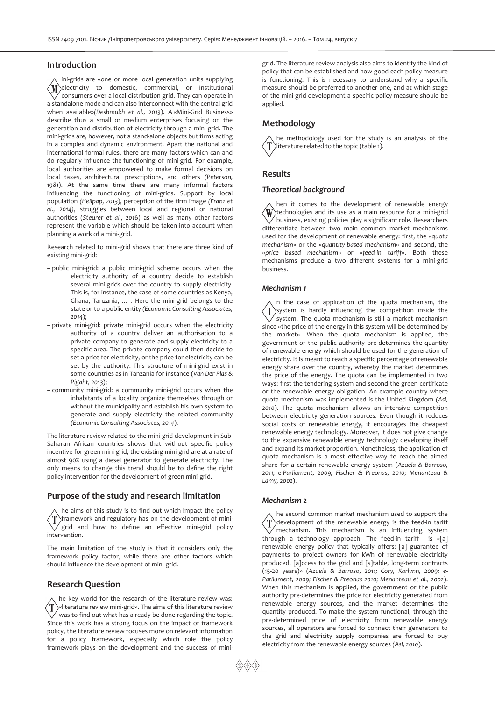## **Introduction**

ini-grids are «one or more local generation units supplying  $\langle M \rangle$ electricity to domestic, commercial, or institutional  $\sqrt{\ }$  consumers over a local distribution grid. They can operate in a standalone mode and can also interconnect with the central grid when available»*(Deshmukh et al., 2013*). A «Mini-Grid Business» describe thus a small or medium enterprises focusing on the generation and distribution of electricity through a mini-grid. The mini-grids are, however, not a stand-alone objects but firms acting in a complex and dynamic environment. Apart the national and international formal rules, there are many factors which can and do regularly influence the functioning of mini-grid. For example, local authorities are empowered to make formal decisions on local taxes, architectural prescriptions, and others *(Peterson, 1981*). At the same time there are many informal factors influencing the functioning of mini-grids. Support by local population *(Hellpap, 2013*), perception of the firm image *(Franz et al., 2014)*, struggles between local and regional or national authorities (*Steurer et al., 201*6) as well as many other factors represent the variable which should be taken into account when planning a work of a mini-grid.

Research related to mini-grid shows that there are three kind of existing mini-grid:

- public mini-grid: a public mini-grid scheme occurs when the electricity authority of a country decide to establish several mini-grids over the country to supply electricity. This is, for instance, the case of some countries as Kenya, Ghana, Tanzania, … . Here the mini-grid belongs to the state or to a public entity *(Economic Consulting Associates, 2014*);
- private mini-grid: private mini-grid occurs when the electricity authority of a country deliver an authorisation to a private company to generate and supply electricity to a specific area. The private company could then decide to set a price for electricity, or the price for electricity can be set by the authority. This structure of mini-grid exist in some countries as in Tanzania for instance (*Van Der Plas & Pigaht, 2013*);
- community mini-grid: a community mini-grid occurs when the inhabitants of a locality organize themselves through or without the municipality and establish his own system to generate and supply electricity the related community *(Economic Consulting Associates, 2014*).

The literature review related to the mini-grid development in Sub-Saharan African countries shows that without specific policy incentive for green mini-grid, the existing mini-grid are at a rate of almost 90% using a diesel generator to generate electricity. The only means to change this trend should be to define the right policy intervention for the development of green mini-grid.

## **Purpose of the study and research limitation**

he aims of this study is to find out which impact the policy T framework and regulatory has on the development of minigrid and how to define an effective mini-grid policy intervention.

The main limitation of the study is that it considers only the framework policy factor, while there are other factors which should influence the development of mini-grid.

## **Research Question**

he key world for the research of the literature review was: T «literature review mini-grid». The aims of this literature review  $\checkmark$  was to find out what has already be done regarding the topic. Since this work has a strong focus on the impact of framework policy, the literature review focuses more on relevant information for a policy framework, especially which role the policy framework plays on the development and the success of minigrid. The literature review analysis also aims to identify the kind of policy that can be established and how good each policy measure is functioning. This is necessary to understand why a specific measure should be preferred to another one, and at which stage of the mini-grid development a specific policy measure should be applied.

## **Methodology**

he methodology used for the study is an analysis of the literature related to the topic (table 1).

## **Results**

## *Theoretical background*

hen it comes to the development of renewable energy  $\langle \mathrm{W} \rangle$ technologies and its use as a main resource for a mini-grid business, existing policies play a significant role. Researchers differentiate between two main common market mechanisms used for the development of renewable energy: first, the «*quota mechanism*» or the «*quantity-based mechanism*» and second, the «*price based mechanism*» or «*feed-in tariff*». Both these mechanisms produce a two different systems for a mini-grid business.

## *Mechanism 1*

n the case of application of the quota mechanism, the  $\langle I \rangle$ system is hardly influencing the competition inside the  $\tilde{\sqrt{\ }}$  system. The quota mechanism is still a market mechanism since «the price of the energy in this system will be determined by the market». When the quota mechanism is applied, the government or the public authority pre-determines the quantity of renewable energy which should be used for the generation of electricity. It is meant to reach a specific percentage of renewable energy share over the country, whereby the market determines the price of the energy. The quota can be implemented in two ways: first the tendering system and second the green certificate or the renewable energy obligation. An example country where quota mechanism was implemented is the United Kingdom *(Asl, 2010*). The quota mechanism allows an intensive competition between electricity generation sources. Even though it reduces social costs of renewable energy, it encourages the cheapest renewable energy technology. Moreover, it does not give change to the expansive renewable energy technology developing itself and expand its market proportion. Nonetheless, the application of quota mechanism is a most effective way to reach the aimed share for a certain renewable energy system (*Azuela & Barroso, 2011; e-Parliament, 2009; Fischer & Preonas, 2010; Menanteau & Lamy, 2002*).

#### *Mechanism 2*

he second common market mechanism used to support the  $\mathbf{T}$ development of the renewable energy is the feed-in tariff mechanism. This mechanism is an influencing system through a technology approach. The feed-in tariff is «[a] renewable energy policy that typically offers: [a] guarantee of payments to project owners for kWh of renewable electricity produced, [a]ccess to the grid and [s]table, long-term contracts (15-20 years)» (*Azuela & Barroso, 2011; Cory, Karlynn, 2009; e-Parliament, 2009; Fischer & Preonas 2010; Menanteau et al., 2002*). When this mechanism is applied, the government or the public authority pre-determines the price for electricity generated from renewable energy sources, and the market determines the quantity produced. To make the system functional, through the pre-determined price of electricity from renewable energy sources, all operators are forced to connect their generators to the grid and electricity supply companies are forced to buy electricity from the renewable energy sources *(Asl, 2010*).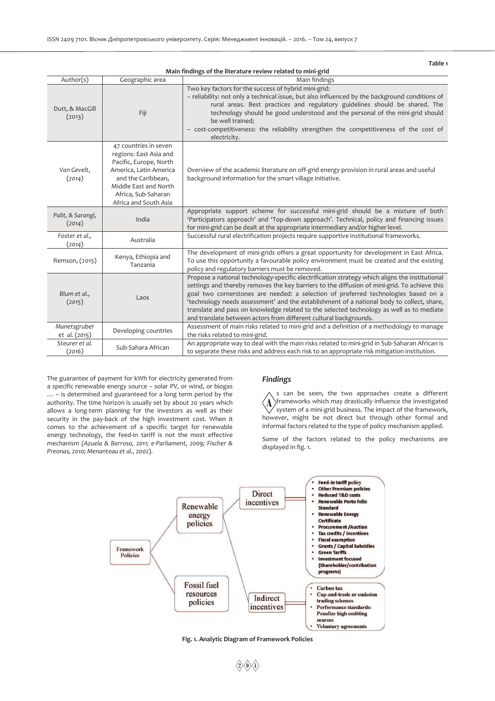| Table <sub>1</sub>            |                                                                                                                                                                                                    |                                                                                                                                                                                                                                                                                                                                                                                                                                                                                                                                                    |
|-------------------------------|----------------------------------------------------------------------------------------------------------------------------------------------------------------------------------------------------|----------------------------------------------------------------------------------------------------------------------------------------------------------------------------------------------------------------------------------------------------------------------------------------------------------------------------------------------------------------------------------------------------------------------------------------------------------------------------------------------------------------------------------------------------|
| Author(s)                     | Geographic area                                                                                                                                                                                    | Main findings of the literature review related to mini-grid<br>Main findings                                                                                                                                                                                                                                                                                                                                                                                                                                                                       |
| Dutt, & MacGill<br>(2013)     | Fiji                                                                                                                                                                                               | Two key factors for the success of hybrid mini-grid:<br>- reliability: not only a technical issue, but also influenced by the background conditions of<br>rural areas. Best practices and regulatory guidelines should be shared. The<br>technology should be good understood and the personal of the mini-grid should<br>be well trained;<br>- cost-competitiveness: the reliability strengthen the competitiveness of the cost of<br>electricity.                                                                                                |
| Van Gevelt,<br>(2014)         | 47 countries in seven<br>regions: East Asia and<br>Pacific, Europe, North<br>America, Latin America<br>and the Caribbean,<br>Middle East and North<br>Africa, Sub-Saharan<br>Africa and South Asia | Overview of the academic literature on off-grid energy provision in rural areas and useful<br>background information for the smart village initiative.                                                                                                                                                                                                                                                                                                                                                                                             |
| Palit, & Sarangi,<br>(2014)   | India                                                                                                                                                                                              | Appropriate support scheme for successful mini-grid should be a mixture of both<br>'Participators approach' and 'Top-down approach'. Technical, policy and financing issues<br>for mini-grid can be dealt at the appropriate intermediary and/or higher level.                                                                                                                                                                                                                                                                                     |
| Foster et al.,<br>(2014)      | Australia                                                                                                                                                                                          | Successful rural electrification projects require supportive institutional frameworks.                                                                                                                                                                                                                                                                                                                                                                                                                                                             |
| Remson, (2015)                | Kenya, Ethiopia and<br>Tanzania                                                                                                                                                                    | The development of mini-grids offers a great opportunity for development in East Africa.<br>To use this opportunity a favourable policy environment must be created and the existing<br>policy and regulatory barriers must be removed.                                                                                                                                                                                                                                                                                                            |
| Blum et al.,<br>(2015)        | Laos                                                                                                                                                                                               | Propose a national technology-specific electrification strategy which aligns the institutional<br>settings and thereby removes the key barriers to the diffusion of mini-grid. To achieve this<br>goal two cornerstones are needed: a selection of preferred technologies based on a<br>'technology needs assessment' and the establishment of a national body to collect, share,<br>translate and pass on knowledge related to the selected technology as well as to mediate<br>and translate between actors from different cultural backgrounds. |
| Manetsgruber<br>et al. (2015) | Developing countries                                                                                                                                                                               | Assessment of main risks related to mini-grid and a definition of a methodology to manage<br>the risks related to mini-grid.                                                                                                                                                                                                                                                                                                                                                                                                                       |
| Steurer et al.<br>(2016)      | Sub-Sahara African                                                                                                                                                                                 | An appropriate way to deal with the main risks related to mini-grid in Sub-Saharan African is<br>to separate these risks and address each risk to an appropriate risk mitigation institution.                                                                                                                                                                                                                                                                                                                                                      |

The guarantee of payment for kWh for electricity generated from a specific renewable energy source – solar PV, or wind, or biogas … – is determined and guaranteed for a long term period by the authority. The time horizon is usually set by about 20 years which allows a long-term planning for the investors as well as their security in the pay-back of the high investment cost. When it comes to the achievement of a specific target for renewable energy technology, the feed-in tariff is not the most effective mechanism *(Azuela & Barroso, 2011; e-Parliament, 2009; Fischer & Preonas, 2010; Menanteau et al., 2002*).

## *Findings*

s can be seen, the two approaches create a different frameworks which may drastically influence the investigated  $\bf(A)$  $\bigvee$  system of a mini-grid business. The impact of the framework, however, might be not direct but through other formal and informal factors related to the type of policy mechanism applied.

Some of the factors related to the policy mechanisms are displayed in fig. 1.



**Fig. 1. Analytic Diagram of Framework Policies**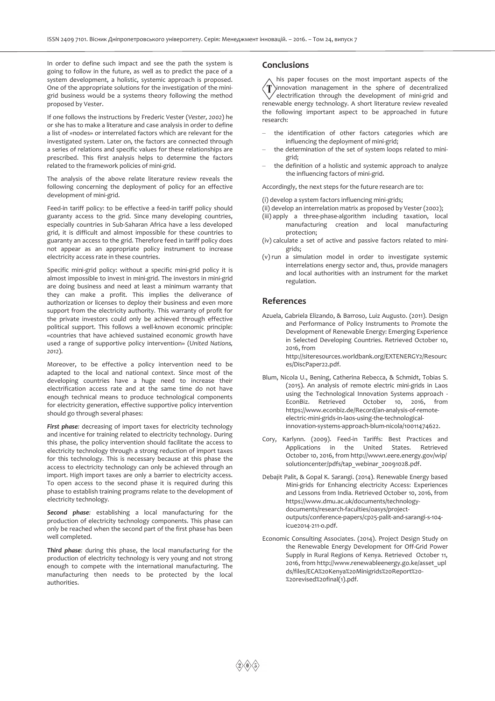In order to define such impact and see the path the system is going to follow in the future, as well as to predict the pace of a system development, a holistic, systemic approach is proposed. One of the appropriate solutions for the investigation of the minigrid business would be a systems theory following the method proposed by Vester.

If one follows the instructions by Frederic Vester (*Vester, 2002*) he or she has to make a literature and case analysis in order to define a list of «nodes» or interrelated factors which are relevant for the investigated system. Later on, the factors are connected through a series of relations and specific values for these relationships are prescribed. This first analysis helps to determine the factors related to the framework policies of mini-grid.

The analysis of the above relate literature review reveals the following concerning the deployment of policy for an effective development of mini-grid.

Feed-in tariff policy: to be effective a feed-in tariff policy should guaranty access to the grid. Since many developing countries, especially countries in Sub-Saharan Africa have a less developed grid, it is difficult and almost impossible for these countries to guaranty an access to the grid. Therefore feed in tariff policy does not appear as an appropriate policy instrument to increase electricity access rate in these countries.

Specific mini-grid policy: without a specific mini-grid policy it is almost impossible to invest in mini-grid. The investors in mini-grid are doing business and need at least a minimum warranty that they can make a profit. This implies the deliverance of authorization or licenses to deploy their business and even more support from the electricity authority. This warranty of profit for the private investors could only be achieved through effective political support. This follows a well-known economic principle: «countries that have achieved sustained economic growth have used a range of supportive policy intervention» (*United Nations, 2012*).

Moreover, to be effective a policy intervention need to be adapted to the local and national context. Since most of the developing countries have a huge need to increase their electrification access rate and at the same time do not have enough technical means to produce technological components for electricity generation, effective supportive policy intervention should go through several phases:

*First phase:* decreasing of import taxes for electricity technology and incentive for training related to electricity technology. During this phase, the policy intervention should facilitate the access to electricity technology through a strong reduction of import taxes for this technology. This is necessary because at this phase the access to electricity technology can only be achieved through an import. High import taxes are only a barrier to electricity access. To open access to the second phase it is required during this phase to establish training programs relate to the development of electricity technology.

*Second phase:* establishing a local manufacturing for the production of electricity technology components. This phase can only be reached when the second part of the first phase has been well completed.

*Third phase:* during this phase, the local manufacturing for the production of electricity technology is very young and not strong enough to compete with the international manufacturing. The manufacturing then needs to be protected by the local authorities.

## **Conclusions**

his paper focuses on the most important aspects of the innovation management in the sphere of decentralized electrification through the development of mini-grid and renewable energy technology. A short literature review revealed the following important aspect to be approached in future research:

- the identification of other factors categories which are influencing the deployment of mini-grid;
- the determination of the set of system loops related to minigrid;
- the definition of a holistic and systemic approach to analyze the influencing factors of mini-grid.

Accordingly, the next steps for the future research are to:

(i) develop a system factors influencing mini-grids;

- (ii) develop an interrelation matrix as proposed by Vester (2002);
- (iii) apply a three-phase-algorithm including taxation, local manufacturing creation and local manufacturing protection;
- (iv) calculate a set of active and passive factors related to minigrids;
- (v) run a simulation model in order to investigate systemic interrelations energy sector and, thus, provide managers and local authorities with an instrument for the market regulation.

#### **References**

- Azuela, Gabriela Elizando, & Barroso, Luiz Augusto. (2011). Design and Performance of Policy Instruments to Promote the Development of Renewable Energy: Emerging Experience in Selected Developing Countries. Retrieved October 10, 2016, from http://siteresources.worldbank.org/EXTENERGY2/Resourc es/DiscPaper22.pdf.
- Blum, Nicola U., Bening, Catherina Rebecca, & Schmidt, Tobias S. (2015). An analysis of remote electric mini-grids in Laos using the Technological Innovation Systems approach - EconBiz. Retrieved October 10, 2016, from https://www.econbiz.de/Record/an-analysis-of-remoteelectric-mini-grids-in-laos-using-the-technologicalinnovation-systems-approach-blum-nicola/10011474622.
- Cory, Karlynn. (2009). Feed-in Tariffs: Best Practices and Applications in the United States. Retrieved October 10, 2016, from http://www1.eere.energy.gov/wip/ solutioncenter/pdfs/tap\_webinar\_20091028.pdf.
- Debajit Palit, & Gopal K. Sarangi. (2014). Renewable Energy based Mini-grids for Enhancing electricity Access: Experiences and Lessons from India. Retrieved October 10, 2016, from https://www.dmu.ac.uk/documents/technologydocuments/research-faculties/oasys/projectoutputs/conference-papers/cp25-palit-and-sarangi-s-104 icue2014-211-o.pdf.
- Economic Consulting Associates. (2014). Project Design Study on the Renewable Energy Development for Off-Grid Power Supply in Rural Regions of Kenya. Retrieved October 11, 2016, from http://www.renewableenergy.go.ke/asset\_upl ds/files/ECA%20Kenya%20Minigrids%20Report%20- %20revised%20final(1).pdf.